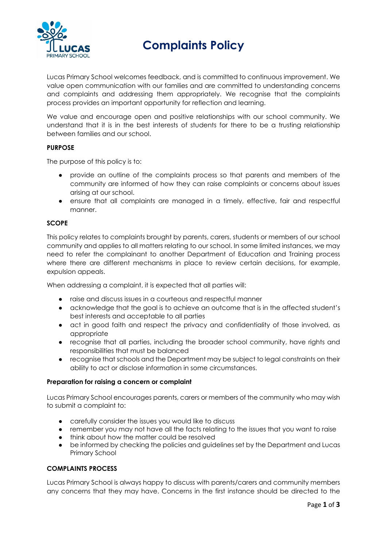

**Complaints Policy** 

Lucas Primary School welcomes feedback, and is committed to continuous improvement. We value open communication with our families and are committed to understanding concerns and complaints and addressing them appropriately. We recognise that the complaints process provides an important opportunity for reflection and learning.

We value and encourage open and positive relationships with our school community. We understand that it is in the best interests of students for there to be a trusting relationship between families and our school.

## **PURPOSE**

The purpose of this policy is to:

- provide an outline of the complaints process so that parents and members of the community are informed of how they can raise complaints or concerns about issues arising at our school.
- ensure that all complaints are managed in a timely, effective, fair and respectful manner.

## **SCOPE**

This policy relates to complaints brought by parents, carers, students or members of our school community and applies to all matters relating to our school. In some limited instances, we may need to refer the complainant to another Department of Education and Training process where there are different mechanisms in place to review certain decisions, for example, expulsion appeals.

When addressing a complaint, it is expected that all parties will:

- raise and discuss issues in a courteous and respectful manner
- acknowledge that the goal is to achieve an outcome that is in the affected student's best interests and acceptable to all parties
- act in good faith and respect the privacy and confidentiality of those involved, as appropriate
- recognise that all parties, including the broader school community, have rights and responsibilities that must be balanced
- recognise that schools and the Department may be subject to legal constraints on their ability to act or disclose information in some circumstances.

#### **Preparation for raising a concern or complaint**

Lucas Primary School encourages parents, carers or members of the community who may wish to submit a complaint to:

- carefully consider the issues you would like to discuss
- remember you may not have all the facts relating to the issues that you want to raise
- think about how the matter could be resolved
- be informed by checking the policies and guidelines set by the Department and Lucas Primary School

#### **COMPLAINTS PROCESS**

Lucas Primary School is always happy to discuss with parents/carers and community members any concerns that they may have. Concerns in the first instance should be directed to the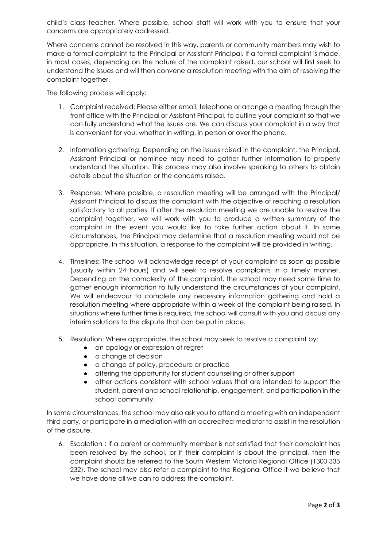child's class teacher. Where possible, school staff will work with you to ensure that your concerns are appropriately addressed.

Where concerns cannot be resolved in this way, parents or community members may wish to make a formal complaint to the Principal or Assistant Principal. If a formal complaint is made, in most cases, depending on the nature of the complaint raised, our school will first seek to understand the issues and will then convene a resolution meeting with the aim of resolving the complaint together.

The following process will apply:

- 1. Complaint received: Please either email, telephone or arrange a meeting through the front office with the Principal or Assistant Principal, to outline your complaint so that we can fully understand what the issues are. We can discuss your complaint in a way that is convenient for you, whether in writing, in person or over the phone.
- 2. Information gathering: Depending on the issues raised in the complaint, the Principal, Assistant Principal or nominee may need to gather further information to properly understand the situation. This process may also involve speaking to others to obtain details about the situation or the concerns raised.
- 3. Response: Where possible, a resolution meeting will be arranged with the Principal/ Assistant Principal to discuss the complaint with the objective of reaching a resolution satisfactory to all parties. If after the resolution meeting we are unable to resolve the complaint together, we will work with you to produce a written summary of the complaint in the event you would like to take further action about it. In some circumstances, the Principal may determine that a resolution meeting would not be appropriate. In this situation, a response to the complaint will be provided in writing.
- 4. Timelines: The school will acknowledge receipt of your complaint as soon as possible (usually within 24 hours) and will seek to resolve complaints in a timely manner. Depending on the complexity of the complaint, the school may need some time to gather enough information to fully understand the circumstances of your complaint. We will endeavour to complete any necessary information gathering and hold a resolution meeting where appropriate within a week of the complaint being raised. In situations where further time is required, the school will consult with you and discuss any interim solutions to the dispute that can be put in place.
- 5. Resolution: Where appropriate, the school may seek to resolve a complaint by:
	- an apology or expression of regret
	- a change of decision
	- a change of policy, procedure or practice
	- offering the opportunity for student counselling or other support
	- other actions consistent with school values that are intended to support the student, parent and school relationship, engagement, and participation in the school community.

In some circumstances, the school may also ask you to attend a meeting with an independent third party, or participate in a mediation with an accredited mediator to assist in the resolution of the dispute.

6. Escalation : If a parent or community member is not satisfied that their complaint has been resolved by the school, or if their complaint is about the principal, then the complaint should be referred to the South Western Victoria Regional Office (1300 333 232). The school may also refer a complaint to the Regional Office if we believe that we have done all we can to address the complaint.